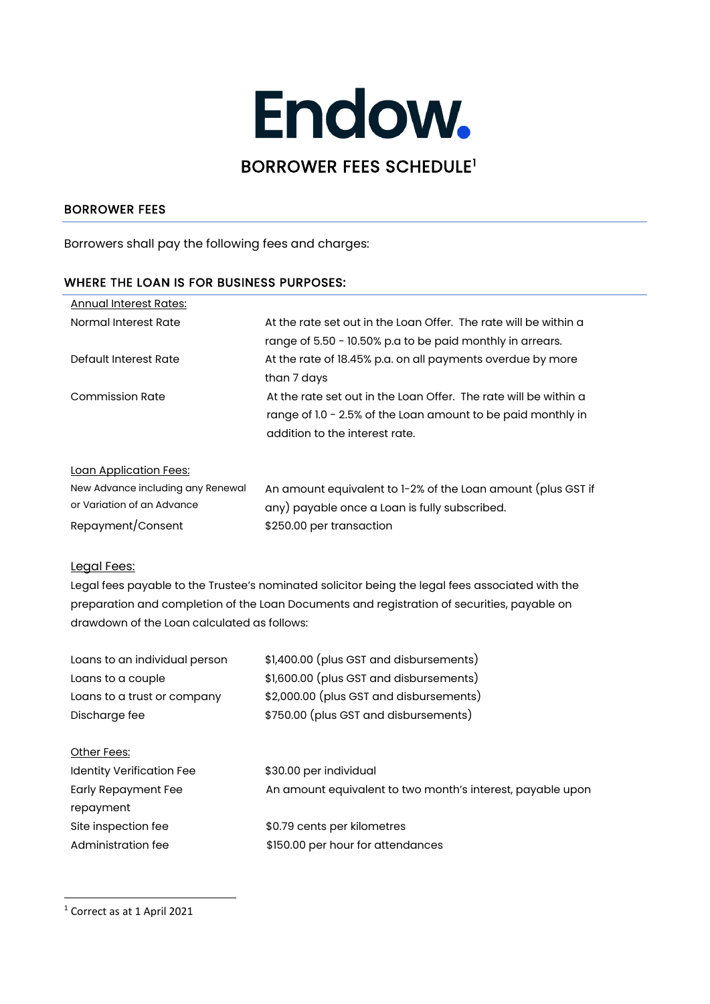# Endow. BORROWER FEES SCHEDULE[1](#page-0-0)

## BORROWER FEES

Borrowers shall pay the following fees and charges:

### WHERE THE LOAN IS FOR BUSINESS PURPOSES:

| Annual Interest Rates: |                                                                  |
|------------------------|------------------------------------------------------------------|
| Normal Interest Rate   | At the rate set out in the Loan Offer. The rate will be within a |
|                        | range of 5.50 - 10.50% p.a to be paid monthly in arrears.        |
| Default Interest Rate  | At the rate of 18.45% p.a. on all payments overdue by more       |
|                        | than 7 days                                                      |
| <b>Commission Rate</b> | At the rate set out in the Loan Offer. The rate will be within a |
|                        | range of 1.0 - 2.5% of the Loan amount to be paid monthly in     |
|                        | addition to the interest rate.                                   |
|                        |                                                                  |

#### Loan Application Fees:

| New Advance including any Renewal | An amount equivalent to 1-2% of the Loan amount (plus GST if |
|-----------------------------------|--------------------------------------------------------------|
| or Variation of an Advance        | any) payable once a Loan is fully subscribed.                |
| Repayment/Consent                 | \$250.00 per transaction                                     |

#### Legal Fees:

Legal fees payable to the Trustee's nominated solicitor being the legal fees associated with the preparation and completion of the Loan Documents and registration of securities, payable on drawdown of the Loan calculated as follows:

| Loans to an individual person    | \$1,400.00 (plus GST and disbursements)                    |  |
|----------------------------------|------------------------------------------------------------|--|
| Loans to a couple                | \$1,600.00 (plus GST and disbursements)                    |  |
| Loans to a trust or company      | \$2,000.00 (plus GST and disbursements)                    |  |
| Discharge fee                    | \$750.00 (plus GST and disbursements)                      |  |
| Other Fees:                      |                                                            |  |
| <b>Identity Verification Fee</b> | \$30.00 per individual                                     |  |
| <b>Early Repayment Fee</b>       | An amount equivalent to two month's interest, payable upon |  |
| repayment                        |                                                            |  |
| Site inspection fee              | \$0.79 cents per kilometres                                |  |
| Administration fee               | \$150.00 per hour for attendances                          |  |

<span id="page-0-0"></span><sup>1</sup> Correct as at 1 April 2021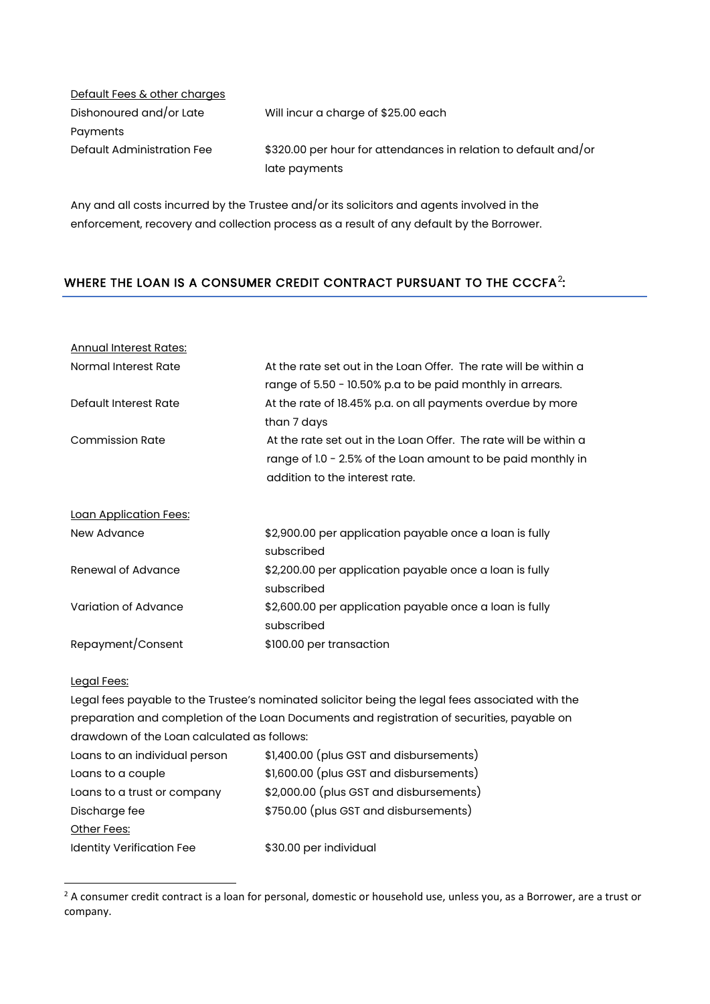| Default Fees & other charges |                                                                 |
|------------------------------|-----------------------------------------------------------------|
| Dishonoured and/or Late      | Will incur a charge of \$25.00 each                             |
| Payments                     |                                                                 |
| Default Administration Fee   | \$320.00 per hour for attendances in relation to default and/or |
|                              | late payments                                                   |

Any and all costs incurred by the Trustee and/or its solicitors and agents involved in the enforcement, recovery and collection process as a result of any default by the Borrower.

## WHERE THE LOAN IS A CONSUMER CREDIT CONTRACT PURSUANT TO THE CCCFA<sup>2</sup>:

| <b>Annual Interest Rates:</b> |                                                                  |
|-------------------------------|------------------------------------------------------------------|
| Normal Interest Rate          | At the rate set out in the Loan Offer. The rate will be within a |
|                               | range of 5.50 - 10.50% p.a to be paid monthly in arrears.        |
| Default Interest Rate         | At the rate of 18.45% p.a. on all payments overdue by more       |
|                               | than 7 days                                                      |
| <b>Commission Rate</b>        | At the rate set out in the Loan Offer. The rate will be within a |
|                               | range of 1.0 - 2.5% of the Loan amount to be paid monthly in     |
|                               | addition to the interest rate.                                   |
| <u>Loan Application Fees:</u> |                                                                  |
| New Advance                   | \$2,900.00 per application payable once a loan is fully          |
|                               | subscribed                                                       |
| Renewal of Advance            | \$2,200.00 per application payable once a loan is fully          |
|                               | subscribed                                                       |
| Variation of Advance          | \$2,600.00 per application payable once a loan is fully          |
|                               | subscribed                                                       |
| Repayment/Consent             | \$100.00 per transaction                                         |

#### Legal Fees:

Legal fees payable to the Trustee's nominated solicitor being the legal fees associated with the preparation and completion of the Loan Documents and registration of securities, payable on drawdown of the Loan calculated as follows:

| Loans to an individual person    | \$1,400.00 (plus GST and disbursements) |
|----------------------------------|-----------------------------------------|
| Loans to a couple                | \$1,600.00 (plus GST and disbursements) |
| Loans to a trust or company      | \$2,000.00 (plus GST and disbursements) |
| Discharge fee                    | \$750.00 (plus GST and disbursements)   |
| Other Fees:                      |                                         |
| <b>Identity Verification Fee</b> | \$30.00 per individual                  |
|                                  |                                         |

<span id="page-1-0"></span><sup>&</sup>lt;sup>2</sup> A consumer credit contract is a loan for personal, domestic or household use, unless you, as a Borrower, are a trust or company.